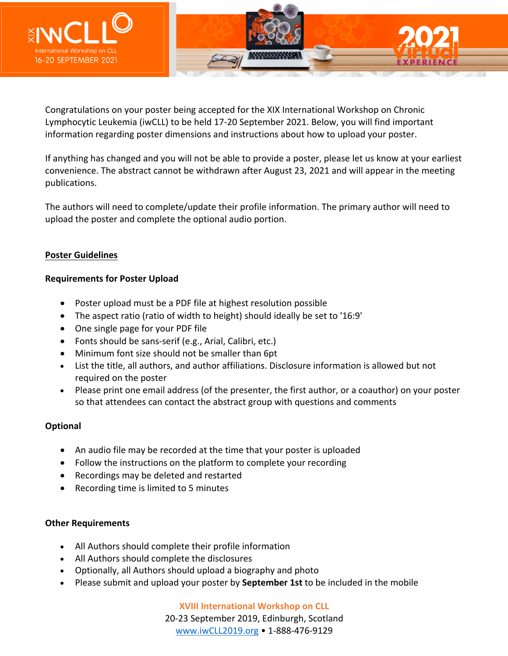

Congratulations on your poster being accepted for the XIX International Workshop on Chronic Lymphocytic Leukemia (iwCLL) to be held 17-20 September 2021. Below, you will find important information regarding poster dimensions and instructions about how to upload your poster.

If anything has changed and you will not be able to provide a poster, please let us know at your earliest convenience. The abstract cannot be withdrawn after August 23, 2021 and will appear in the meeting publications.

The authors will need to complete/update their profile information. The primary author will need to upload the poster and complete the optional audio portion.

## **Poster Guidelines**

## **Requirements for Poster Upload**

- Poster upload must be a PDF file at highest resolution possible
- The aspect ratio (ratio of width to height) should ideally be set to '16:9'
- One single page for your PDF file
- Fonts should be sans-serif (e.g., Arial, Calibri, etc.)
- Minimum font size should not be smaller than 6pt
- List the title, all authors, and author affiliations. Disclosure information is allowed but not required on the poster
- Please print one email address (of the presenter, the first author, or a coauthor) on your poster so that attendees can contact the abstract group with questions and comments

## **Optional**

- An audio file may be recorded at the time that your poster is uploaded
- Follow the instructions on the platform to complete your recording
- Recordings may be deleted and restarted
- Recording time is limited to 5 minutes

## **Other Requirements**

- All Authors should complete their profile information
- All Authors should complete the disclosures
- Optionally, all Authors should upload a biography and photo
- Please submit and upload your poster by **September 1st** to be included in the mobile

**XVIII International Workshop on CLL** 20-23 September 2019, Edinburgh, Scotland www.iwCLL2019.org • 1-888-476-9129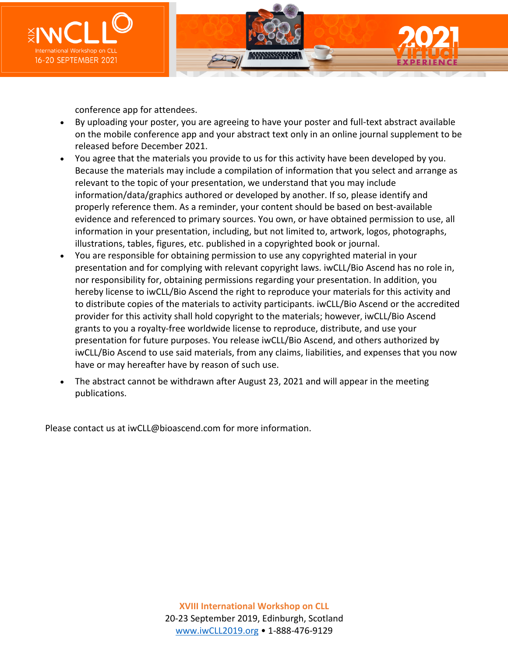

conference app for attendees.

- By uploading your poster, you are agreeing to have your poster and full-text abstract available on the mobile conference app and your abstract text only in an online journal supplement to be released before December 2021.
- You agree that the materials you provide to us for this activity have been developed by you. Because the materials may include a compilation of information that you select and arrange as relevant to the topic of your presentation, we understand that you may include information/data/graphics authored or developed by another. If so, please identify and properly reference them. As a reminder, your content should be based on best-available evidence and referenced to primary sources. You own, or have obtained permission to use, all information in your presentation, including, but not limited to, artwork, logos, photographs, illustrations, tables, figures, etc. published in a copyrighted book or journal.
- You are responsible for obtaining permission to use any copyrighted material in your presentation and for complying with relevant copyright laws. iwCLL/Bio Ascend has no role in, nor responsibility for, obtaining permissions regarding your presentation. In addition, you hereby license to iwCLL/Bio Ascend the right to reproduce your materials for this activity and to distribute copies of the materials to activity participants. iwCLL/Bio Ascend or the accredited provider for this activity shall hold copyright to the materials; however, iwCLL/Bio Ascend grants to you a royalty-free worldwide license to reproduce, distribute, and use your presentation for future purposes. You release iwCLL/Bio Ascend, and others authorized by iwCLL/Bio Ascend to use said materials, from any claims, liabilities, and expenses that you now have or may hereafter have by reason of such use.
- The abstract cannot be withdrawn after August 23, 2021 and will appear in the meeting publications.

Please contact us at iwCLL@bioascend.com for more information.